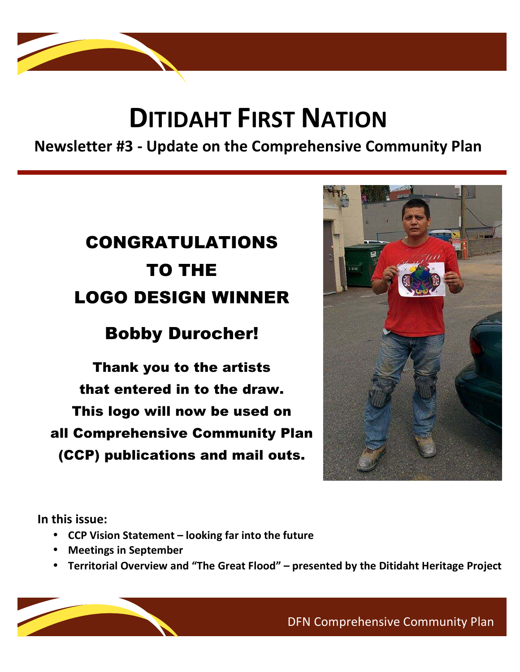# **DITIDAHT FIRST NATION**

**Newsletter #3 ‐ Update on the Comprehensive Community Plan** 

## CONGRATULATIONS TO THE LOGO DESIGN WINNER

## Bobby Durocher!

Thank you to the artists that entered in to the draw. This logo will now be used on all Comprehensive Community Plan (CCP) publications and mail outs.



 $\mathcal{L}_{\mathcal{A}}$ 

**In this issue:**

÷,

- **CCP Vision Statement looking far into the future**
- **Meetings in September**
- **Territorial Overview and "The Great Flood" presented by the Ditidaht Heritage Project**

DFN Comprehensive Community Plan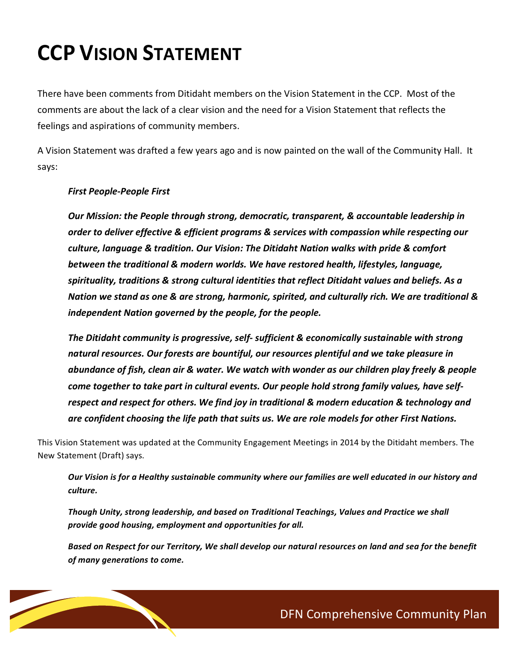# **CCP VISION STATEMENT**

There have been comments from Ditidaht members on the Vision Statement in the CCP. Most of the comments are about the lack of a clear vision and the need for a Vision Statement that reflects the feelings and aspirations of community members.

A Vision Statement was drafted a few years ago and is now painted on the wall of the Community Hall. It says:

#### *First People‐People First*

*Our Mission: the People through strong, democratic, transparent, & accountable leadership in order to deliver effective & efficient programs & services with compassion while respecting our culture, language & tradition. Our Vision: The Ditidaht Nation walks with pride & comfort between the traditional & modern worlds. We have restored health, lifestyles, language, spirituality, traditions & strong cultural identities that reflect Ditidaht values and beliefs. As a Nation we stand as one & are strong, harmonic, spirited, and culturally rich. We are traditional & independent Nation governed by the people, for the people.*

*The Ditidaht community is progressive, self‐ sufficient & economically sustainable with strong natural resources. Our forests are bountiful, our resources plentiful and we take pleasure in abundance of fish, clean air & water. We watch with wonder as our children play freely & people come together to take part in cultural events. Our people hold strong family values, have self‐ respect and respect for others. We find joy in traditional & modern education & technology and are confident choosing the life path that suits us. We are role models for other First Nations.* 

This Vision Statement was updated at the Community Engagement Meetings in 2014 by the Ditidaht members. The New Statement (Draft) says.

*Our Vision is for a Healthy sustainable community where our families are well educated in our history and culture.* 

*Though Unity, strong leadership, and based on Traditional Teachings, Values and Practice we shall provide good housing, employment and opportunities for all.*

*Based on Respect for our Territory, We shall develop our natural resources on land and sea for the benefit of many generations to come.* 

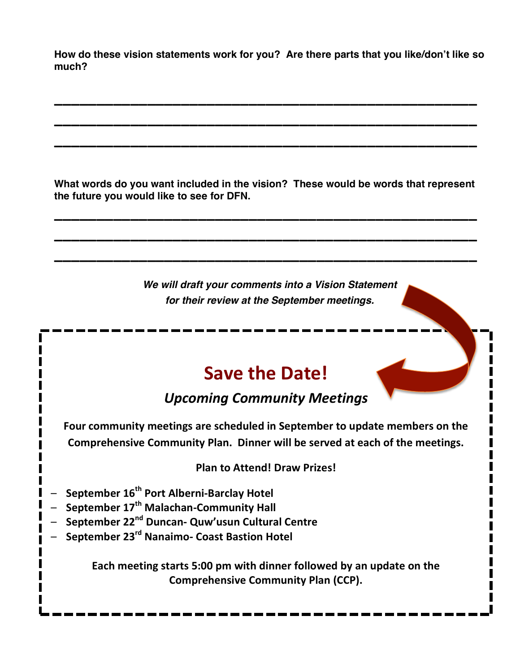**How do these vision statements work for you? Are there parts that you like/don't like so much?**

**\_\_\_\_\_\_\_\_\_\_\_\_\_\_\_\_\_\_\_\_\_\_\_\_\_\_\_\_\_\_\_\_\_\_\_\_\_\_\_\_\_\_\_\_\_\_\_\_\_\_**

**\_\_\_\_\_\_\_\_\_\_\_\_\_\_\_\_\_\_\_\_\_\_\_\_\_\_\_\_\_\_\_\_\_\_\_\_\_\_\_\_\_\_\_\_\_\_\_\_\_\_**

**\_\_\_\_\_\_\_\_\_\_\_\_\_\_\_\_\_\_\_\_\_\_\_\_\_\_\_\_\_\_\_\_\_\_\_\_\_\_\_\_\_\_\_\_\_\_\_\_\_\_**

**What words do you want included in the vision? These would be words that represent the future you would like to see for DFN.**

**\_\_\_\_\_\_\_\_\_\_\_\_\_\_\_\_\_\_\_\_\_\_\_\_\_\_\_\_\_\_\_\_\_\_\_\_\_\_\_\_\_\_\_\_\_\_\_\_\_\_**

**\_\_\_\_\_\_\_\_\_\_\_\_\_\_\_\_\_\_\_\_\_\_\_\_\_\_\_\_\_\_\_\_\_\_\_\_\_\_\_\_\_\_\_\_\_\_\_\_\_\_**

**\_\_\_\_\_\_\_\_\_\_\_\_\_\_\_\_\_\_\_\_\_\_\_\_\_\_\_\_\_\_\_\_\_\_\_\_\_\_\_\_\_\_\_\_\_\_\_\_\_\_**

**We will draft your comments into a Vision Statement for their review at the September meetings.**

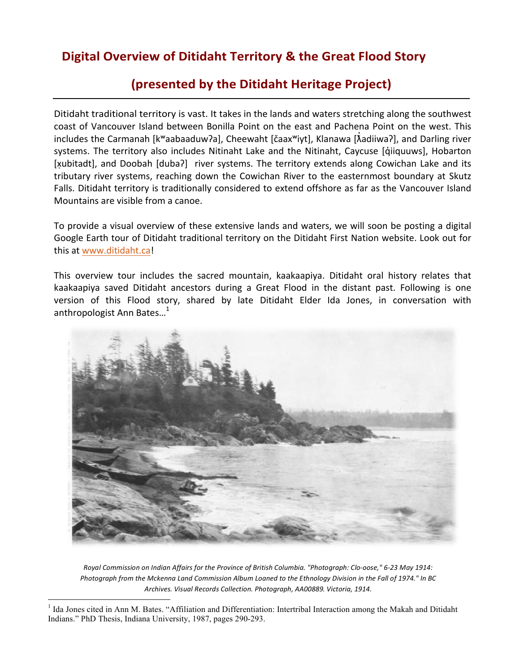### **Digital Overview of Ditidaht Territory & the Great Flood Story**

### **(presented by the Ditidaht Heritage Project)**

Ditidaht traditional territory is vast. It takes in the lands and waters stretching along the southwest coast of Vancouver Island between Bonilla Point on the east and Pachena Point on the west. This includes the Carmanah [kʷaabaaduwʔa], Cheewaht [čaaxʷiyt], Klanawa [ $\tilde{\lambda}$ adiiwaʔ], and Darling river systems. The territory also includes Nitinaht Lake and the Nitinaht, Caycuse [q̓iiquuws], Hobarton [xubitadt], and Doobah [duba?] river systems. The territory extends along Cowichan Lake and its tributary river systems, reaching down the Cowichan River to the easternmost boundary at Skutz Falls. Ditidaht territory is traditionally considered to extend offshore as far as the Vancouver Island Mountains are visible from a canoe.

To provide a visual overview of these extensive lands and waters, we will soon be posting a digital Google Earth tour of Ditidaht traditional territory on the Ditidaht First Nation website. Look out for this at www.ditidaht.ca!

This overview tour includes the sacred mountain, kaakaapiya. Ditidaht oral history relates that kaakaapiya saved Ditidaht ancestors during a Great Flood in the distant past. Following is one version of this Flood story, shared by late Ditidaht Elder Ida Jones, in conversation with anthropologist Ann Bates...<sup>1</sup>



*Royal Commission on Indian Affairs for the Province of British Columbia. "Photograph: Clo‐oose," 6‐23 May 1914: Photograph from the Mckenna Land Commission Album Loaned to the Ethnology Division in the Fall of 1974." In BC Archives. Visual Records Collection. Photograph, AA00889. Victoria, 1914.*

<sup>&</sup>lt;sup>1</sup> Ida Jones cited in Ann M. Bates. "Affiliation and Differentiation: Intertribal Interaction among the Makah and Ditidaht Indians." PhD Thesis, Indiana University, 1987, pages 290-293.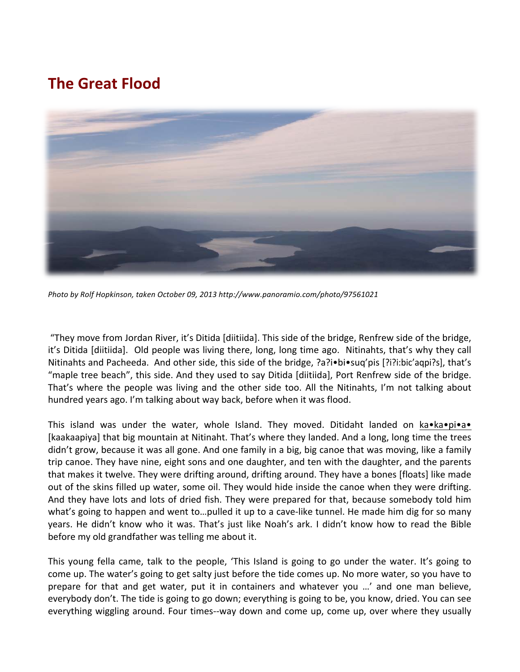### **The Great Flood**



*Photo by Rolf Hopkinson, taken October 09, 2013 http://www.panoramio.com/photo/97561021* 

 "They move from Jordan River, it's Ditida [diitiida]. This side of the bridge, Renfrew side of the bridge, it's Ditida [diitiida]. Old people was living there, long, long time ago. Nitinahts, that's why they call Nitinahts and Pacheeda. And other side, this side of the bridge, ?a?i•bi•suq'pis [?i?i:bic'aqpi?s], that's "maple tree beach", this side. And they used to say Ditida [diitiida], Port Renfrew side of the bridge. That's where the people was living and the other side too. All the Nitinahts, I'm not talking about hundred years ago. I'm talking about way back, before when it was flood.

This island was under the water, whole Island. They moved. Ditidaht landed on ka•ka•pi•a• [kaakaapiya] that big mountain at Nitinaht. That's where they landed. And a long, long time the trees didn't grow, because it was all gone. And one family in a big, big canoe that was moving, like a family trip canoe. They have nine, eight sons and one daughter, and ten with the daughter, and the parents that makes it twelve. They were drifting around, drifting around. They have a bones [floats] like made out of the skins filled up water, some oil. They would hide inside the canoe when they were drifting. And they have lots and lots of dried fish. They were prepared for that, because somebody told him what's going to happen and went to...pulled it up to a cave-like tunnel. He made him dig for so many years. He didn't know who it was. That's just like Noah's ark. I didn't know how to read the Bible before my old grandfather was telling me about it.

This young fella came, talk to the people, 'This Island is going to go under the water. It's going to come up. The water's going to get salty just before the tide comes up. No more water, so you have to prepare for that and get water, put it in containers and whatever you …' and one man believe, everybody don't. The tide is going to go down; everything is going to be, you know, dried. You can see everything wiggling around. Four times--way down and come up, come up, over where they usually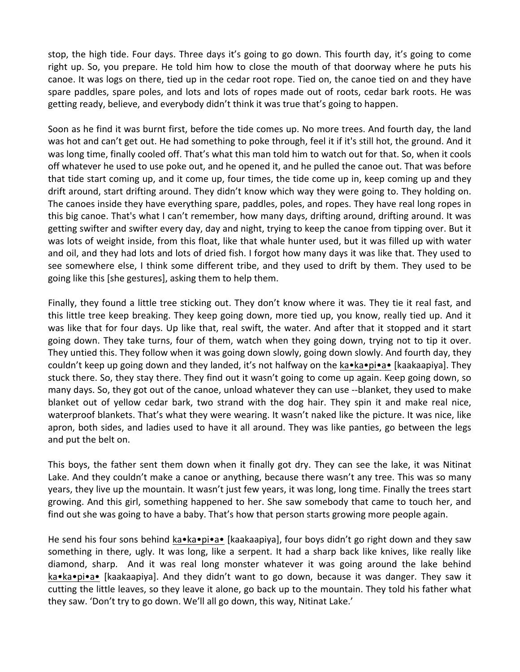stop, the high tide. Four days. Three days it's going to go down. This fourth day, it's going to come right up. So, you prepare. He told him how to close the mouth of that doorway where he puts his canoe. It was logs on there, tied up in the cedar root rope. Tied on, the canoe tied on and they have spare paddles, spare poles, and lots and lots of ropes made out of roots, cedar bark roots. He was getting ready, believe, and everybody didn't think it was true that's going to happen.

Soon as he find it was burnt first, before the tide comes up. No more trees. And fourth day, the land was hot and can't get out. He had something to poke through, feel it if it's still hot, the ground. And it was long time, finally cooled off. That's what this man told him to watch out for that. So, when it cools off whatever he used to use poke out, and he opened it, and he pulled the canoe out. That was before that tide start coming up, and it come up, four times, the tide come up in, keep coming up and they drift around, start drifting around. They didn't know which way they were going to. They holding on. The canoes inside they have everything spare, paddles, poles, and ropes. They have real long ropes in this big canoe. That's what I can't remember, how many days, drifting around, drifting around. It was getting swifter and swifter every day, day and night, trying to keep the canoe from tipping over. But it was lots of weight inside, from this float, like that whale hunter used, but it was filled up with water and oil, and they had lots and lots of dried fish. I forgot how many days it was like that. They used to see somewhere else, I think some different tribe, and they used to drift by them. They used to be going like this [she gestures], asking them to help them.

Finally, they found a little tree sticking out. They don't know where it was. They tie it real fast, and this little tree keep breaking. They keep going down, more tied up, you know, really tied up. And it was like that for four days. Up like that, real swift, the water. And after that it stopped and it start going down. They take turns, four of them, watch when they going down, trying not to tip it over. They untied this. They follow when it was going down slowly, going down slowly. And fourth day, they couldn't keep up going down and they landed, it's not halfway on the ka•ka•pi•a• [kaakaapiya]. They stuck there. So, they stay there. They find out it wasn't going to come up again. Keep going down, so many days. So, they got out of the canoe, unload whatever they can use ‐‐blanket, they used to make blanket out of yellow cedar bark, two strand with the dog hair. They spin it and make real nice, waterproof blankets. That's what they were wearing. It wasn't naked like the picture. It was nice, like apron, both sides, and ladies used to have it all around. They was like panties, go between the legs and put the belt on.

This boys, the father sent them down when it finally got dry. They can see the lake, it was Nitinat Lake. And they couldn't make a canoe or anything, because there wasn't any tree. This was so many years, they live up the mountain. It wasn't just few years, it was long, long time. Finally the trees start growing. And this girl, something happened to her. She saw somebody that came to touch her, and find out she was going to have a baby. That's how that person starts growing more people again.

He send his four sons behind ka•ka•pi•a• [kaakaapiya], four boys didn't go right down and they saw something in there, ugly. It was long, like a serpent. It had a sharp back like knives, like really like diamond, sharp. And it was real long monster whatever it was going around the lake behind ka•ka•pi•a• [kaakaapiya]. And they didn't want to go down, because it was danger. They saw it cutting the little leaves, so they leave it alone, go back up to the mountain. They told his father what they saw. 'Don't try to go down. We'll all go down, this way, Nitinat Lake.'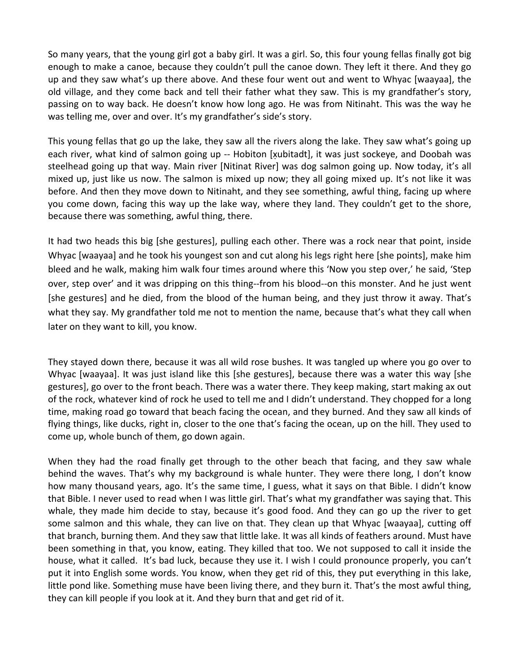So many years, that the young girl got a baby girl. It was a girl. So, this four young fellas finally got big enough to make a canoe, because they couldn't pull the canoe down. They left it there. And they go up and they saw what's up there above. And these four went out and went to Whyac [waayaa], the old village, and they come back and tell their father what they saw. This is my grandfather's story, passing on to way back. He doesn't know how long ago. He was from Nitinaht. This was the way he was telling me, over and over. It's my grandfather's side's story.

This young fellas that go up the lake, they saw all the rivers along the lake. They saw what's going up each river, what kind of salmon going up -- Hobiton [xubitadt], it was just sockeye, and Doobah was steelhead going up that way. Main river [Nitinat River] was dog salmon going up. Now today, it's all mixed up, just like us now. The salmon is mixed up now; they all going mixed up. It's not like it was before. And then they move down to Nitinaht, and they see something, awful thing, facing up where you come down, facing this way up the lake way, where they land. They couldn't get to the shore, because there was something, awful thing, there.

It had two heads this big [she gestures], pulling each other. There was a rock near that point, inside Whyac [waayaa] and he took his youngest son and cut along his legs right here [she points], make him bleed and he walk, making him walk four times around where this 'Now you step over,' he said, 'Step over, step over' and it was dripping on this thing‐‐from his blood‐‐on this monster. And he just went [she gestures] and he died, from the blood of the human being, and they just throw it away. That's what they say. My grandfather told me not to mention the name, because that's what they call when later on they want to kill, you know.

They stayed down there, because it was all wild rose bushes. It was tangled up where you go over to Whyac [waayaa]. It was just island like this [she gestures], because there was a water this way [she gestures], go over to the front beach. There was a water there. They keep making, start making ax out of the rock, whatever kind of rock he used to tell me and I didn't understand. They chopped for a long time, making road go toward that beach facing the ocean, and they burned. And they saw all kinds of flying things, like ducks, right in, closer to the one that's facing the ocean, up on the hill. They used to come up, whole bunch of them, go down again.

When they had the road finally get through to the other beach that facing, and they saw whale behind the waves. That's why my background is whale hunter. They were there long, I don't know how many thousand years, ago. It's the same time, I guess, what it says on that Bible. I didn't know that Bible. I never used to read when I was little girl. That's what my grandfather was saying that. This whale, they made him decide to stay, because it's good food. And they can go up the river to get some salmon and this whale, they can live on that. They clean up that Whyac [waayaa], cutting off that branch, burning them. And they saw that little lake. It was all kinds of feathers around. Must have been something in that, you know, eating. They killed that too. We not supposed to call it inside the house, what it called. It's bad luck, because they use it. I wish I could pronounce properly, you can't put it into English some words. You know, when they get rid of this, they put everything in this lake, little pond like. Something muse have been living there, and they burn it. That's the most awful thing, they can kill people if you look at it. And they burn that and get rid of it.